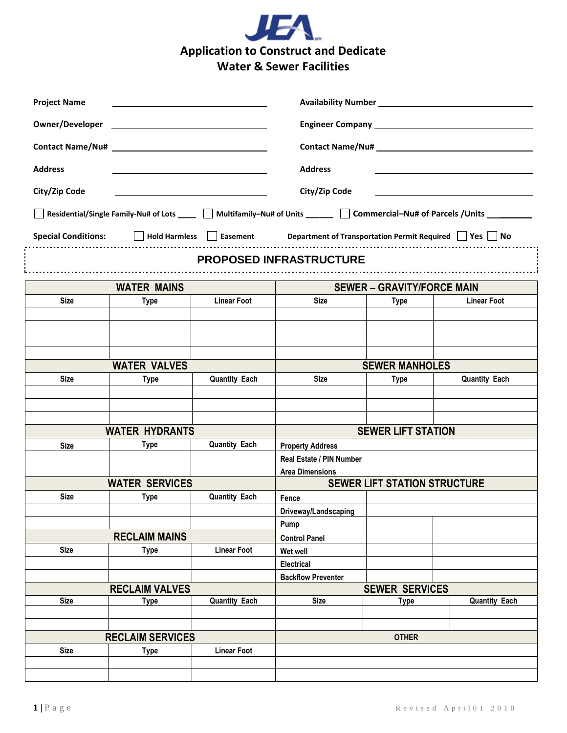

| <b>Project Name</b>        | the contract of the contract of the contract of the contract of the contract of |                      |                                                                                | Availability Number<br>Management Availability Number<br>Management Availability Number |                                                                                                                     |
|----------------------------|---------------------------------------------------------------------------------|----------------------|--------------------------------------------------------------------------------|-----------------------------------------------------------------------------------------|---------------------------------------------------------------------------------------------------------------------|
|                            |                                                                                 |                      |                                                                                |                                                                                         |                                                                                                                     |
|                            |                                                                                 |                      |                                                                                |                                                                                         |                                                                                                                     |
|                            |                                                                                 |                      |                                                                                |                                                                                         |                                                                                                                     |
| <b>Address</b>             |                                                                                 |                      | <b>Address</b>                                                                 |                                                                                         |                                                                                                                     |
| City/Zip Code              |                                                                                 |                      | City/Zip Code                                                                  |                                                                                         |                                                                                                                     |
|                            |                                                                                 |                      |                                                                                |                                                                                         | Residential/Single Family-Nu# of Lots ____ Multifamily-Nu# of Units ______ Commercial-Nu# of Parcels /Units _______ |
|                            |                                                                                 |                      |                                                                                |                                                                                         |                                                                                                                     |
| <b>Special Conditions:</b> |                                                                                 |                      | □ Hold Harmless E Easement Department of Transportation Permit Required Yes No |                                                                                         |                                                                                                                     |
|                            |                                                                                 |                      | <b>PROPOSED INFRASTRUCTURE</b>                                                 |                                                                                         |                                                                                                                     |
| <b>WATER MAINS</b>         |                                                                                 |                      | <b>SEWER - GRAVITY/FORCE MAIN</b>                                              |                                                                                         |                                                                                                                     |
| <b>Size</b>                | Type                                                                            | <b>Linear Foot</b>   | Size                                                                           | Type                                                                                    | <b>Linear Foot</b>                                                                                                  |
|                            |                                                                                 |                      |                                                                                |                                                                                         |                                                                                                                     |
|                            |                                                                                 |                      |                                                                                |                                                                                         |                                                                                                                     |
|                            |                                                                                 |                      |                                                                                |                                                                                         |                                                                                                                     |
| <b>WATER VALVES</b>        |                                                                                 |                      | <b>SEWER MANHOLES</b>                                                          |                                                                                         |                                                                                                                     |
| <b>Size</b>                | Type                                                                            | <b>Quantity Each</b> | <b>Size</b>                                                                    | Type                                                                                    | <b>Quantity Each</b>                                                                                                |
|                            |                                                                                 |                      |                                                                                |                                                                                         |                                                                                                                     |
|                            |                                                                                 |                      |                                                                                |                                                                                         |                                                                                                                     |
|                            |                                                                                 |                      |                                                                                |                                                                                         |                                                                                                                     |
|                            | <b>WATER HYDRANTS</b>                                                           |                      | <b>SEWER LIFT STATION</b>                                                      |                                                                                         |                                                                                                                     |
| <b>Size</b>                | Type                                                                            | <b>Quantity Each</b> | <b>Property Address</b>                                                        |                                                                                         |                                                                                                                     |
|                            |                                                                                 |                      | Real Estate / PIN Number                                                       |                                                                                         |                                                                                                                     |
| <b>WATER SERVICES</b>      |                                                                                 |                      | <b>Area Dimensions</b><br><b>SEWER LIFT STATION STRUCTURE</b>                  |                                                                                         |                                                                                                                     |
| <b>Size</b>                | Type                                                                            | <b>Quantity Each</b> | Fence                                                                          |                                                                                         |                                                                                                                     |
|                            |                                                                                 |                      | Driveway/Landscaping                                                           |                                                                                         |                                                                                                                     |
|                            |                                                                                 |                      | Pump                                                                           |                                                                                         |                                                                                                                     |
| <b>RECLAIM MAINS</b>       |                                                                                 |                      | <b>Control Panel</b>                                                           |                                                                                         |                                                                                                                     |
| <b>Size</b>                | <b>Type</b>                                                                     | <b>Linear Foot</b>   | Wet well                                                                       |                                                                                         |                                                                                                                     |
|                            |                                                                                 |                      | Electrical                                                                     |                                                                                         |                                                                                                                     |
|                            | <b>RECLAIM VALVES</b>                                                           |                      | <b>Backflow Preventer</b>                                                      |                                                                                         |                                                                                                                     |
| <b>Size</b>                | <b>Type</b>                                                                     | <b>Quantity Each</b> | <b>Size</b>                                                                    | <b>SEWER SERVICES</b><br><b>Quantity Each</b><br>Type                                   |                                                                                                                     |
|                            |                                                                                 |                      |                                                                                |                                                                                         |                                                                                                                     |
|                            |                                                                                 |                      |                                                                                |                                                                                         |                                                                                                                     |
| <b>RECLAIM SERVICES</b>    |                                                                                 |                      | <b>OTHER</b>                                                                   |                                                                                         |                                                                                                                     |
| <b>Size</b>                | <b>Type</b>                                                                     | <b>Linear Foot</b>   |                                                                                |                                                                                         |                                                                                                                     |
|                            |                                                                                 |                      |                                                                                |                                                                                         |                                                                                                                     |
|                            |                                                                                 |                      |                                                                                |                                                                                         |                                                                                                                     |